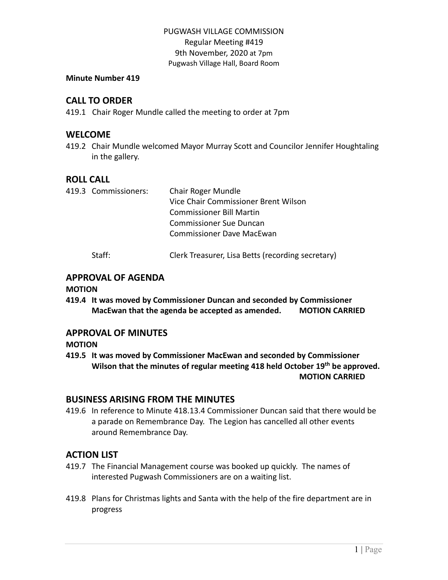#### **Minute Number 419**

## **CALL TO ORDER**

419.1 Chair Roger Mundle called the meeting to order at 7pm

#### **WELCOME**

419.2 Chair Mundle welcomed Mayor Murray Scott and Councilor Jennifer Houghtaling in the gallery.

## **ROLL CALL**

|  | 419.3 Commissioners: | <b>Chair Roger Mundle</b>            |
|--|----------------------|--------------------------------------|
|  |                      | Vice Chair Commissioner Brent Wilson |
|  |                      | <b>Commissioner Bill Martin</b>      |
|  |                      | <b>Commissioner Sue Duncan</b>       |
|  |                      | <b>Commissioner Dave MacEwan</b>     |
|  |                      |                                      |

Staff: Clerk Treasurer, Lisa Betts (recording secretary)

## **APPROVAL OF AGENDA**

#### **MOTION**

**419.4 It was moved by Commissioner Duncan and seconded by Commissioner MacEwan that the agenda be accepted as amended. MOTION CARRIED**

## **APPROVAL OF MINUTES**

**MOTION**

**419.5 It was moved by Commissioner MacEwan and seconded by Commissioner Wilson that the minutes of regular meeting 418 held October 19 th be approved. MOTION CARRIED**

## **BUSINESS ARISING FROM THE MINUTES**

419.6 In reference to Minute 418.13.4 Commissioner Duncan said that there would be a parade on Remembrance Day. The Legion has cancelled all other events around Remembrance Day.

# **ACTION LIST**

- 419.7 The Financial Management course was booked up quickly. The names of interested Pugwash Commissioners are on a waiting list.
- 419.8 Plans for Christmas lights and Santa with the help of the fire department are in progress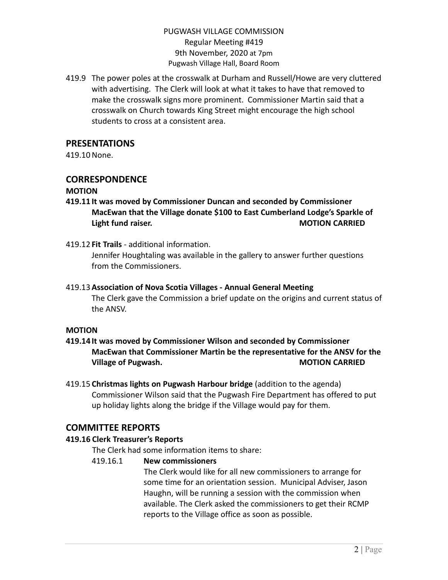419.9 The power poles at the crosswalk at Durham and Russell/Howe are very cluttered with advertising. The Clerk will look at what it takes to have that removed to make the crosswalk signs more prominent. Commissioner Martin said that a crosswalk on Church towards King Street might encourage the high school students to cross at a consistent area.

## **PRESENTATIONS**

419.10None.

## **CORRESPONDENCE**

#### **MOTION**

- **419.11 It was moved by Commissioner Duncan and seconded by Commissioner MacEwan that the Village donate \$100 to East Cumberland Lodge's Sparkle of Light fund raiser. MOTION CARRIED**
- 419.12 **Fit Trails** additional information.

Jennifer Houghtaling was available in the gallery to answer further questions from the Commissioners.

# 419.13**Association of Nova Scotia Villages - Annual General Meeting**

The Clerk gave the Commission a brief update on the origins and current status of the ANSV.

#### **MOTION**

- **419.14 It was moved by Commissioner Wilson and seconded by Commissioner MacEwan that Commissioner Martin be the representative for the ANSV for the Village of Pugwash. MOTION CARRIED**
- 419.15 **Christmas lights on Pugwash Harbour bridge** (addition to the agenda) Commissioner Wilson said that the Pugwash Fire Department has offered to put up holiday lights along the bridge if the Village would pay for them.

# **COMMITTEE REPORTS**

## **419.16 Clerk Treasurer's Reports**

The Clerk had some information items to share:

## 419.16.1 **New commissioners**

The Clerk would like for all new commissioners to arrange for some time for an orientation session. Municipal Adviser, Jason Haughn, will be running a session with the commission when available. The Clerk asked the commissioners to get their RCMP reports to the Village office as soon as possible.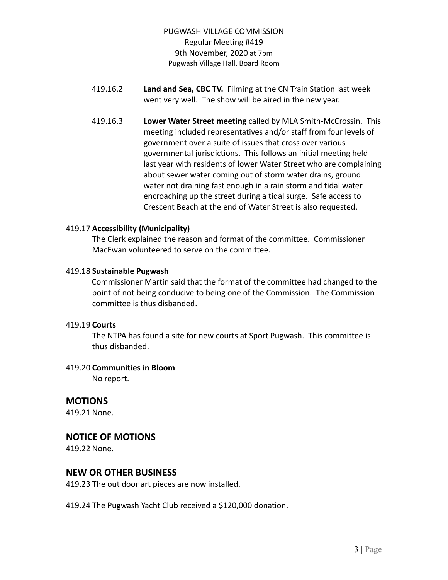- 419.16.2 **Land and Sea, CBC TV.** Filming at the CN Train Station last week went very well. The show will be aired in the new year.
- 419.16.3 **Lower Water Street meeting** called by MLA Smith-McCrossin. This meeting included representatives and/or staff from four levels of government over a suite of issues that cross over various governmental jurisdictions.This follows an initial meeting held last year with residents of lower Water Street who are complaining about sewer water coming out of storm water drains, ground water not draining fast enough in a rain storm and tidal water encroaching up the street during a tidal surge. Safe access to Crescent Beach at the end of Water Street is also requested.

#### 419.17 **Accessibility (Municipality)**

The Clerk explained the reason and format of the committee. Commissioner MacEwan volunteered to serve on the committee.

#### 419.18 **Sustainable Pugwash**

Commissioner Martin said that the format of the committee had changed to the point of not being conducive to being one of the Commission. The Commission committee is thus disbanded.

#### 419.19 **Courts**

The NTPA has found a site for new courts at Sport Pugwash. This committee is thus disbanded.

#### 419.20 **Communities in Bloom**

No report.

## **MOTIONS**

419.21 None.

## **NOTICE OF MOTIONS**

419.22 None.

# **NEW OR OTHER BUSINESS**

419.23 The out door art pieces are now installed.

419.24 The Pugwash Yacht Club received a \$120,000 donation.